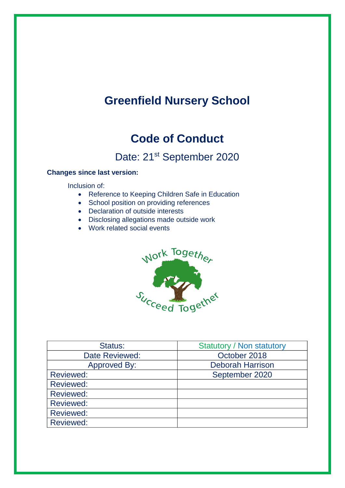# **Greenfield Nursery School**

## **Code of Conduct**

Date: 21<sup>st</sup> September 2020

## **Changes since last version:**

Inclusion of:

- Reference to Keeping Children Safe in Education
- School position on providing references
- Declaration of outside interests
- Disclosing allegations made outside work
- Work related social events



| Status:          | <b>Statutory / Non statutory</b> |  |
|------------------|----------------------------------|--|
| Date Reviewed:   | October 2018                     |  |
| Approved By:     | <b>Deborah Harrison</b>          |  |
| <b>Reviewed:</b> | September 2020                   |  |
| <b>Reviewed:</b> |                                  |  |
| <b>Reviewed:</b> |                                  |  |
| <b>Reviewed:</b> |                                  |  |
| <b>Reviewed:</b> |                                  |  |
| <b>Reviewed:</b> |                                  |  |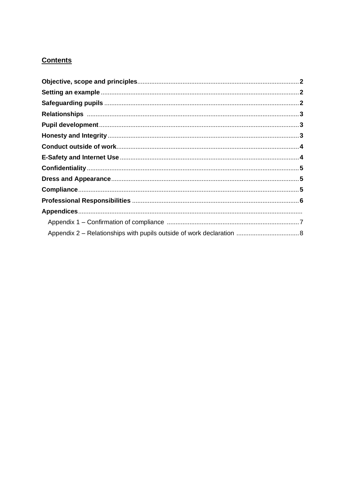## **Contents**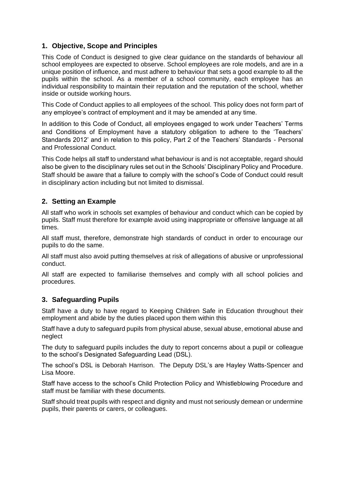## **1. Objective, Scope and Principles**

This Code of Conduct is designed to give clear guidance on the standards of behaviour all school employees are expected to observe. School employees are role models, and are in a unique position of influence, and must adhere to behaviour that sets a good example to all the pupils within the school. As a member of a school community, each employee has an individual responsibility to maintain their reputation and the reputation of the school, whether inside or outside working hours.

This Code of Conduct applies to all employees of the school. This policy does not form part of any employee's contract of employment and it may be amended at any time.

In addition to this Code of Conduct, all employees engaged to work under Teachers' Terms and Conditions of Employment have a statutory obligation to adhere to the 'Teachers' Standards 2012' and in relation to this policy, Part 2 of the Teachers' Standards - Personal and Professional Conduct.

This Code helps all staff to understand what behaviour is and is not acceptable, regard should also be given to the disciplinary rules set out in the Schools' Disciplinary Policy and Procedure. Staff should be aware that a failure to comply with the school's Code of Conduct could result in disciplinary action including but not limited to dismissal.

## **2. Setting an Example**

All staff who work in schools set examples of behaviour and conduct which can be copied by pupils. Staff must therefore for example avoid using inappropriate or offensive language at all times.

All staff must, therefore, demonstrate high standards of conduct in order to encourage our pupils to do the same.

All staff must also avoid putting themselves at risk of allegations of abusive or unprofessional conduct.

All staff are expected to familiarise themselves and comply with all school policies and procedures.

## **3. Safeguarding Pupils**

Staff have a duty to have regard to Keeping Children Safe in Education throughout their employment and abide by the duties placed upon them within this

Staff have a duty to safeguard pupils from physical abuse, sexual abuse, emotional abuse and neglect

The duty to safeguard pupils includes the duty to report concerns about a pupil or colleague to the school's Designated Safeguarding Lead (DSL).

The school's DSL is Deborah Harrison. The Deputy DSL's are Hayley Watts-Spencer and Lisa Moore.

Staff have access to the school's Child Protection Policy and Whistleblowing Procedure and staff must be familiar with these documents.

Staff should treat pupils with respect and dignity and must not seriously demean or undermine pupils, their parents or carers, or colleagues.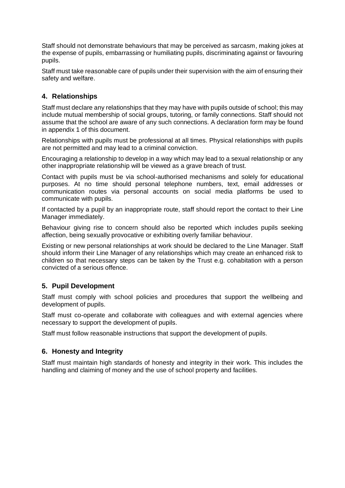Staff should not demonstrate behaviours that may be perceived as sarcasm, making jokes at the expense of pupils, embarrassing or humiliating pupils, discriminating against or favouring pupils.

Staff must take reasonable care of pupils under their supervision with the aim of ensuring their safety and welfare.

#### **4. Relationships**

Staff must declare any relationships that they may have with pupils outside of school; this may include mutual membership of social groups, tutoring, or family connections. Staff should not assume that the school are aware of any such connections. A declaration form may be found in appendix 1 of this document.

Relationships with pupils must be professional at all times. Physical relationships with pupils are not permitted and may lead to a criminal conviction.

Encouraging a relationship to develop in a way which may lead to a sexual relationship or any other inappropriate relationship will be viewed as a grave breach of trust.

Contact with pupils must be via school-authorised mechanisms and solely for educational purposes. At no time should personal telephone numbers, text, email addresses or communication routes via personal accounts on social media platforms be used to communicate with pupils.

If contacted by a pupil by an inappropriate route, staff should report the contact to their Line Manager immediately.

Behaviour giving rise to concern should also be reported which includes pupils seeking affection, being sexually provocative or exhibiting overly familiar behaviour.

Existing or new personal relationships at work should be declared to the Line Manager. Staff should inform their Line Manager of any relationships which may create an enhanced risk to children so that necessary steps can be taken by the Trust e.g. cohabitation with a person convicted of a serious offence.

#### **5. Pupil Development**

Staff must comply with school policies and procedures that support the wellbeing and development of pupils.

Staff must co-operate and collaborate with colleagues and with external agencies where necessary to support the development of pupils.

Staff must follow reasonable instructions that support the development of pupils.

#### **6. Honesty and Integrity**

Staff must maintain high standards of honesty and integrity in their work. This includes the handling and claiming of money and the use of school property and facilities.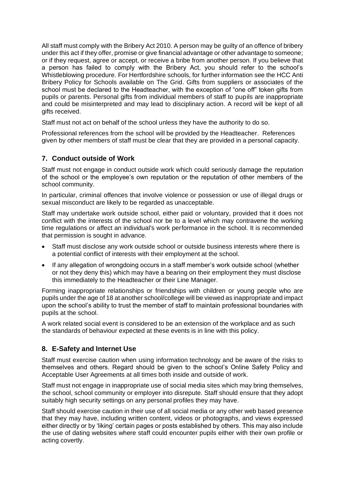All staff must comply with the Bribery Act 2010. A person may be guilty of an offence of bribery under this act if they offer, promise or give financial advantage or other advantage to someone; or if they request, agree or accept, or receive a bribe from another person. If you believe that a person has failed to comply with the Bribery Act, you should refer to the school's Whistleblowing procedure. For Hertfordshire schools, for further information see the HCC Anti Bribery Policy for Schools available on The Grid. Gifts from suppliers or associates of the school must be declared to the Headteacher, with the exception of "one off" token gifts from pupils or parents. Personal gifts from individual members of staff to pupils are inappropriate and could be misinterpreted and may lead to disciplinary action. A record will be kept of all gifts received.

Staff must not act on behalf of the school unless they have the authority to do so.

Professional references from the school will be provided by the Headteacher. References given by other members of staff must be clear that they are provided in a personal capacity.

### **7. Conduct outside of Work**

Staff must not engage in conduct outside work which could seriously damage the reputation of the school or the employee's own reputation or the reputation of other members of the school community.

In particular, criminal offences that involve violence or possession or use of illegal drugs or sexual misconduct are likely to be regarded as unacceptable.

Staff may undertake work outside school, either paid or voluntary, provided that it does not conflict with the interests of the school nor be to a level which may contravene the working time regulations or affect an individual's work performance in the school. It is recommended that permission is sought in advance.

- Staff must disclose any work outside school or outside business interests where there is a potential conflict of interests with their employment at the school.
- If any allegation of wrongdoing occurs in a staff member's work outside school (whether or not they deny this) which may have a bearing on their employment they must disclose this immediately to the Headteacher or their Line Manager.

Forming inappropriate relationships or friendships with children or young people who are pupils under the age of 18 at another school/college will be viewed as inappropriate and impact upon the school's ability to trust the member of staff to maintain professional boundaries with pupils at the school.

A work related social event is considered to be an extension of the workplace and as such the standards of behaviour expected at these events is in line with this policy.

## **8. E-Safety and Internet Use**

Staff must exercise caution when using information technology and be aware of the risks to themselves and others. Regard should be given to the school's Online Safety Policy and Acceptable User Agreements at all times both inside and outside of work.

Staff must not engage in inappropriate use of social media sites which may bring themselves, the school, school community or employer into disrepute. Staff should ensure that they adopt suitably high security settings on any personal profiles they may have.

Staff should exercise caution in their use of all social media or any other web based presence that they may have, including written content, videos or photographs, and views expressed either directly or by 'liking' certain pages or posts established by others. This may also include the use of dating websites where staff could encounter pupils either with their own profile or acting covertly.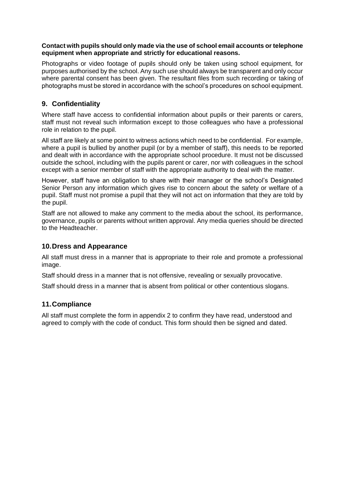#### **Contact with pupils should only made via the use of school email accounts or telephone equipment when appropriate and strictly for educational reasons.**

Photographs or video footage of pupils should only be taken using school equipment, for purposes authorised by the school. Any such use should always be transparent and only occur where parental consent has been given. The resultant files from such recording or taking of photographs must be stored in accordance with the school's procedures on school equipment.

## **9. Confidentiality**

Where staff have access to confidential information about pupils or their parents or carers, staff must not reveal such information except to those colleagues who have a professional role in relation to the pupil.

All staff are likely at some point to witness actions which need to be confidential. For example, where a pupil is bullied by another pupil (or by a member of staff), this needs to be reported and dealt with in accordance with the appropriate school procedure. It must not be discussed outside the school, including with the pupils parent or carer, nor with colleagues in the school except with a senior member of staff with the appropriate authority to deal with the matter.

However, staff have an obligation to share with their manager or the school's Designated Senior Person any information which gives rise to concern about the safety or welfare of a pupil. Staff must not promise a pupil that they will not act on information that they are told by the pupil.

Staff are not allowed to make any comment to the media about the school, its performance, governance, pupils or parents without written approval. Any media queries should be directed to the Headteacher.

#### **10.Dress and Appearance**

All staff must dress in a manner that is appropriate to their role and promote a professional image.

Staff should dress in a manner that is not offensive, revealing or sexually provocative.

Staff should dress in a manner that is absent from political or other contentious slogans.

#### **11.Compliance**

All staff must complete the form in appendix 2 to confirm they have read, understood and agreed to comply with the code of conduct. This form should then be signed and dated.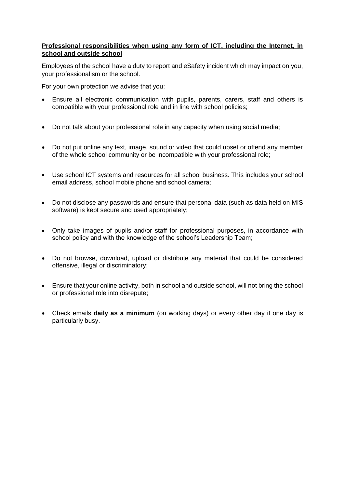#### **Professional responsibilities when using any form of ICT, including the Internet, in school and outside school**

Employees of the school have a duty to report and eSafety incident which may impact on you, your professionalism or the school.

For your own protection we advise that you:

- Ensure all electronic communication with pupils, parents, carers, staff and others is compatible with your professional role and in line with school policies;
- Do not talk about your professional role in any capacity when using social media;
- Do not put online any text, image, sound or video that could upset or offend any member of the whole school community or be incompatible with your professional role;
- Use school ICT systems and resources for all school business. This includes your school email address, school mobile phone and school camera;
- Do not disclose any passwords and ensure that personal data (such as data held on MIS software) is kept secure and used appropriately;
- Only take images of pupils and/or staff for professional purposes, in accordance with school policy and with the knowledge of the school's Leadership Team;
- Do not browse, download, upload or distribute any material that could be considered offensive, illegal or discriminatory;
- Ensure that your online activity, both in school and outside school, will not bring the school or professional role into disrepute;
- Check emails **daily as a minimum** (on working days) or every other day if one day is particularly busy.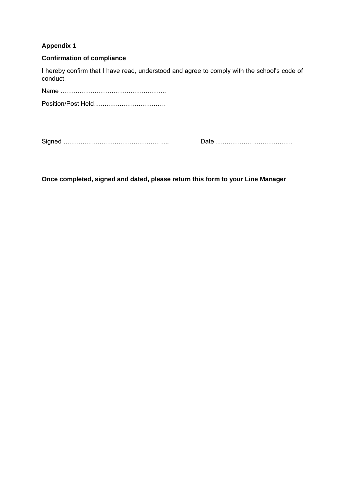## **Appendix 1**

### **Confirmation of compliance**

I hereby confirm that I have read, understood and agree to comply with the school's code of conduct.

Name ………………………………………….. Position/Post Held……………………………

Signed ………………………………………….. Date ………………………………

**Once completed, signed and dated, please return this form to your Line Manager**